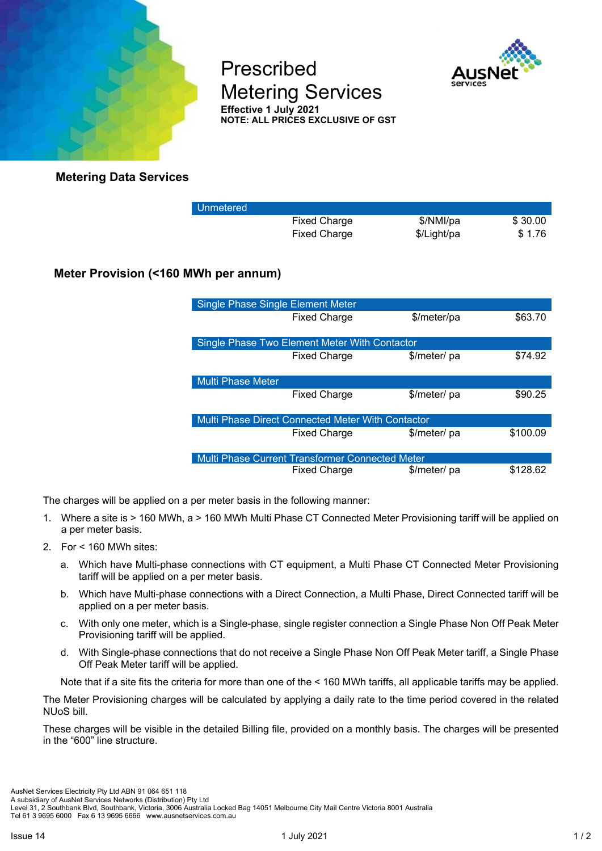

Prescribed Metering Services **Effective 1 July 2021 NOTE: ALL PRICES EXCLUSIVE OF GST** 



**Metering Data Services**

| Unmetered |                     |             |         |
|-----------|---------------------|-------------|---------|
|           | <b>Fixed Charge</b> | \$/NMI/pa   | \$30.00 |
|           | <b>Fixed Charge</b> | \$/Light/pa | \$1.76  |

## **Meter Provision (<160 MWh per annum)**

| <b>Single Phase Single Element Meter</b>          |                     |              |          |  |
|---------------------------------------------------|---------------------|--------------|----------|--|
|                                                   | <b>Fixed Charge</b> | \$/meter/pa  | \$63.70  |  |
| Single Phase Two Element Meter With Contactor     |                     |              |          |  |
|                                                   | <b>Fixed Charge</b> | \$/meter/ pa | \$74.92  |  |
| Multi Phase Meter                                 |                     |              |          |  |
|                                                   | <b>Fixed Charge</b> | \$/meter/ pa | \$90.25  |  |
| Multi Phase Direct Connected Meter With Contactor |                     |              |          |  |
|                                                   | <b>Fixed Charge</b> | \$/meter/ pa | \$100.09 |  |
| Multi Phase Current Transformer Connected Meter   |                     |              |          |  |
|                                                   | <b>Fixed Charge</b> | \$/meter/ pa | \$128.62 |  |

The charges will be applied on a per meter basis in the following manner:

- 1. Where a site is > 160 MWh, a > 160 MWh Multi Phase CT Connected Meter Provisioning tariff will be applied on a per meter basis.
- 2. For < 160 MWh sites:
	- a. Which have Multi-phase connections with CT equipment, a Multi Phase CT Connected Meter Provisioning tariff will be applied on a per meter basis.
	- b. Which have Multi-phase connections with a Direct Connection, a Multi Phase, Direct Connected tariff will be applied on a per meter basis.
	- c. With only one meter, which is a Single-phase, single register connection a Single Phase Non Off Peak Meter Provisioning tariff will be applied.
	- d. With Single-phase connections that do not receive a Single Phase Non Off Peak Meter tariff, a Single Phase Off Peak Meter tariff will be applied.

Note that if a site fits the criteria for more than one of the < 160 MWh tariffs, all applicable tariffs may be applied.

The Meter Provisioning charges will be calculated by applying a daily rate to the time period covered in the related NUoS bill.

These charges will be visible in the detailed Billing file, provided on a monthly basis. The charges will be presented in the "600" line structure.

Level 31, 2 Southbank Blvd, Southbank, Victoria, 3006 Australia Locked Bag 14051 Melbourne City Mail Centre Victoria 8001 Australia

Tel 61 3 9695 6000 Fax 6 13 9695 6666 www.ausnetservices.com.au

A subsidiary of AusNet Services Networks (Distribution) Pty Ltd